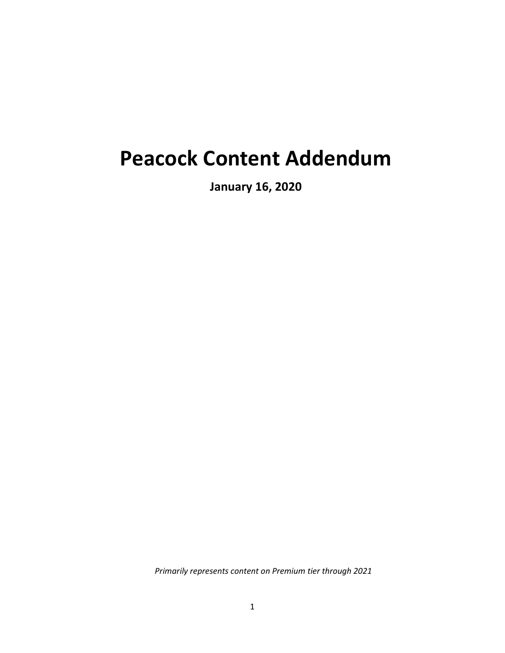# Peacock Content Addendum

January 16, 2020

Primarily represents content on Premium tier through 2021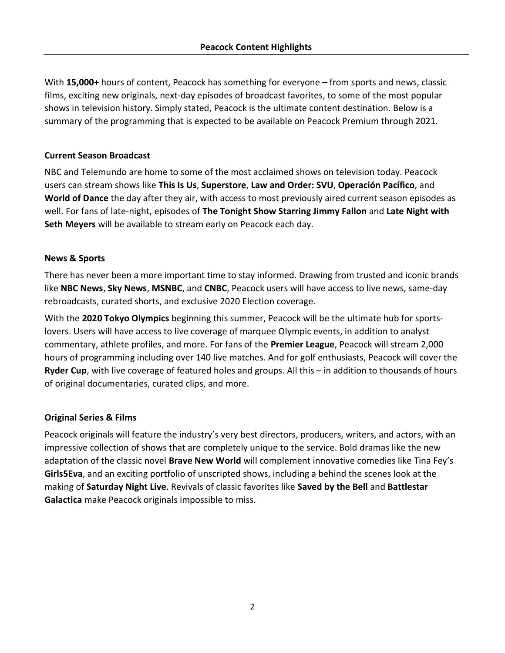With 15,000+ hours of content, Peacock has something for everyone – from sports and news, classic films, exciting new originals, next-day episodes of broadcast favorites, to some of the most popular shows in television history. Simply stated, Peacock is the ultimate content destination. Below is a summary of the programming that is expected to be available on Peacock Premium through 2021.

## Current Season Broadcast

NBC and Telemundo are home to some of the most acclaimed shows on television today. Peacock users can stream shows like This Is Us, Superstore, Law and Order: SVU, Operación Pacífico, and World of Dance the day after they air, with access to most previously aired current season episodes as well. For fans of late-night, episodes of The Tonight Show Starring Jimmy Fallon and Late Night with Seth Meyers will be available to stream early on Peacock each day.

## News & Sports

There has never been a more important time to stay informed. Drawing from trusted and iconic brands like NBC News, Sky News, MSNBC, and CNBC, Peacock users will have access to live news, same-day rebroadcasts, curated shorts, and exclusive 2020 Election coverage.

With the 2020 Tokyo Olympics beginning this summer, Peacock will be the ultimate hub for sportslovers. Users will have access to live coverage of marquee Olympic events, in addition to analyst commentary, athlete profiles, and more. For fans of the Premier League, Peacock will stream 2,000 hours of programming including over 140 live matches. And for golf enthusiasts, Peacock will cover the Ryder Cup, with live coverage of featured holes and groups. All this – in addition to thousands of hours of original documentaries, curated clips, and more.

## Original Series & Films

Peacock originals will feature the industry's very best directors, producers, writers, and actors, with an impressive collection of shows that are completely unique to the service. Bold dramas like the new adaptation of the classic novel **Brave New World** will complement innovative comedies like Tina Fey's Girls5Eva, and an exciting portfolio of unscripted shows, including a behind the scenes look at the making of Saturday Night Live. Revivals of classic favorites like Saved by the Bell and Battlestar Galactica make Peacock originals impossible to miss.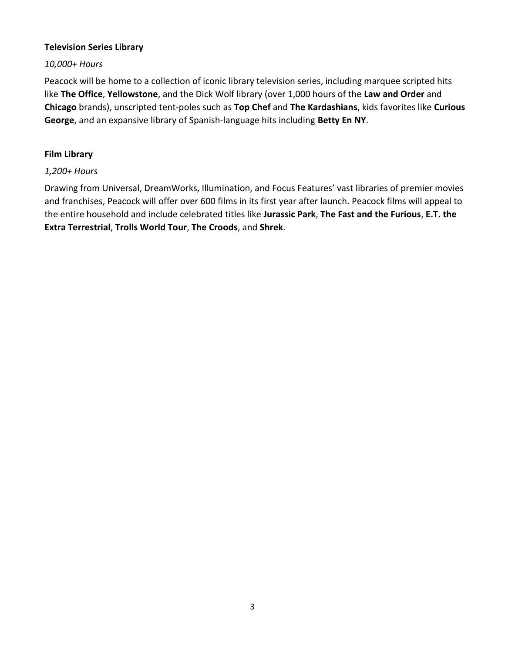## Television Series Library

#### 10,000+ Hours

Peacock will be home to a collection of iconic library television series, including marquee scripted hits like The Office, Yellowstone, and the Dick Wolf library (over 1,000 hours of the Law and Order and Chicago brands), unscripted tent-poles such as Top Chef and The Kardashians, kids favorites like Curious George, and an expansive library of Spanish-language hits including Betty En NY.

## Film Library

#### 1,200+ Hours

Drawing from Universal, DreamWorks, Illumination, and Focus Features' vast libraries of premier movies and franchises, Peacock will offer over 600 films in its first year after launch. Peacock films will appeal to the entire household and include celebrated titles like Jurassic Park, The Fast and the Furious, E.T. the Extra Terrestrial, Trolls World Tour, The Croods, and Shrek.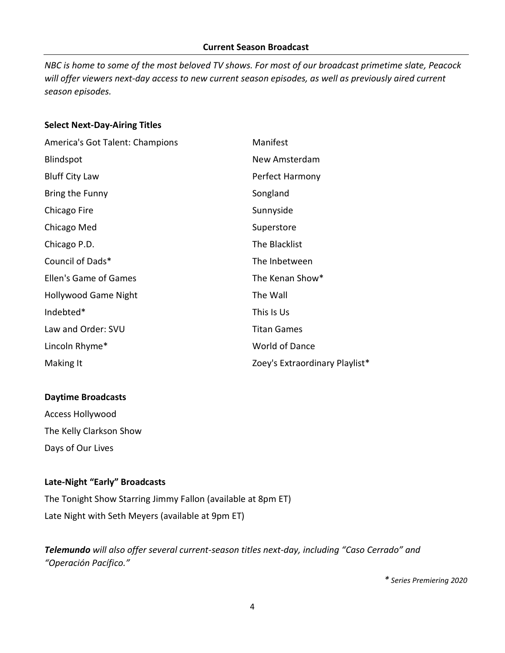NBC is home to some of the most beloved TV shows. For most of our broadcast primetime slate, Peacock will offer viewers next-day access to new current season episodes, as well as previously aired current season episodes.

#### Select Next-Day-Airing Titles

| America's Got Talent: Champions | Manifest                       |
|---------------------------------|--------------------------------|
| Blindspot                       | New Amsterdam                  |
| <b>Bluff City Law</b>           | Perfect Harmony                |
| Bring the Funny                 | Songland                       |
| Chicago Fire                    | Sunnyside                      |
| Chicago Med                     | Superstore                     |
| Chicago P.D.                    | The Blacklist                  |
| Council of Dads*                | The Inbetween                  |
| Ellen's Game of Games           | The Kenan Show*                |
| <b>Hollywood Game Night</b>     | The Wall                       |
| Indebted*                       | This Is Us                     |
| Law and Order: SVU              | <b>Titan Games</b>             |
| Lincoln Rhyme*                  | <b>World of Dance</b>          |
| Making It                       | Zoey's Extraordinary Playlist* |

#### Daytime Broadcasts

Access Hollywood The Kelly Clarkson Show Days of Our Lives

## Late-Night "Early" Broadcasts

The Tonight Show Starring Jimmy Fallon (available at 8pm ET) Late Night with Seth Meyers (available at 9pm ET)

Telemundo will also offer several current-season titles next-day, including "Caso Cerrado" and "Operación Pacífico."

\* Series Premiering 2020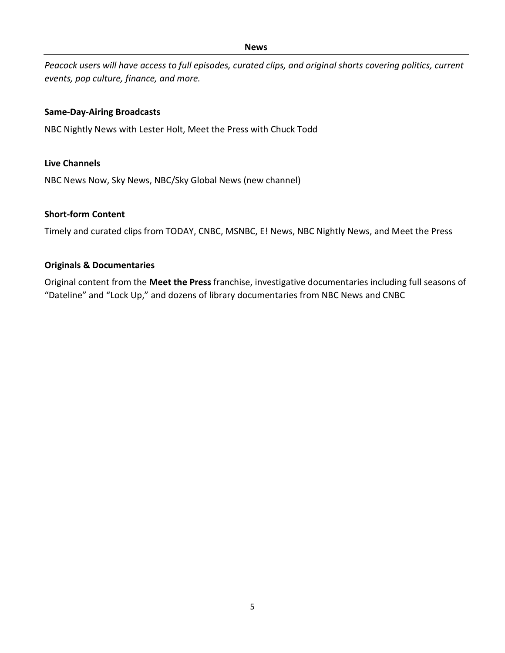#### News

Peacock users will have access to full episodes, curated clips, and original shorts covering politics, current events, pop culture, finance, and more.

## Same-Day-Airing Broadcasts

NBC Nightly News with Lester Holt, Meet the Press with Chuck Todd

#### Live Channels

NBC News Now, Sky News, NBC/Sky Global News (new channel)

## Short-form Content

Timely and curated clips from TODAY, CNBC, MSNBC, E! News, NBC Nightly News, and Meet the Press

#### Originals & Documentaries

Original content from the Meet the Press franchise, investigative documentaries including full seasons of "Dateline" and "Lock Up," and dozens of library documentaries from NBC News and CNBC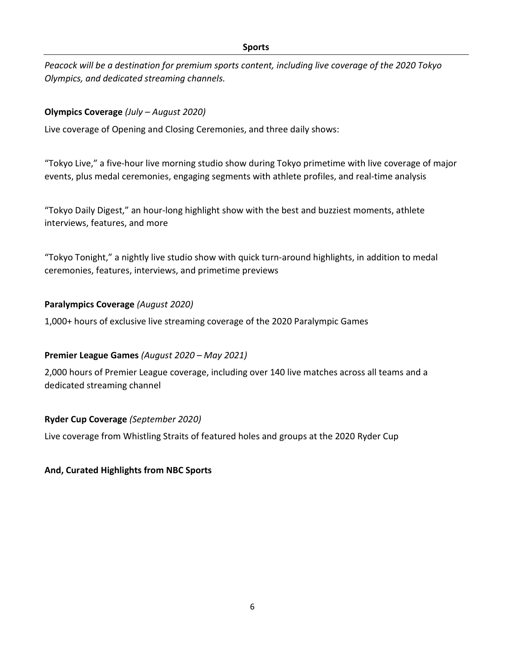Peacock will be a destination for premium sports content, including live coverage of the 2020 Tokyo Olympics, and dedicated streaming channels.

## Olympics Coverage (July – August 2020)

Live coverage of Opening and Closing Ceremonies, and three daily shows:

"Tokyo Live," a five-hour live morning studio show during Tokyo primetime with live coverage of major events, plus medal ceremonies, engaging segments with athlete profiles, and real-time analysis

"Tokyo Daily Digest," an hour-long highlight show with the best and buzziest moments, athlete interviews, features, and more

"Tokyo Tonight," a nightly live studio show with quick turn-around highlights, in addition to medal ceremonies, features, interviews, and primetime previews

## Paralympics Coverage (August 2020)

1,000+ hours of exclusive live streaming coverage of the 2020 Paralympic Games

## Premier League Games (August 2020 – May 2021)

2,000 hours of Premier League coverage, including over 140 live matches across all teams and a dedicated streaming channel

#### Ryder Cup Coverage (September 2020)

Live coverage from Whistling Straits of featured holes and groups at the 2020 Ryder Cup

## And, Curated Highlights from NBC Sports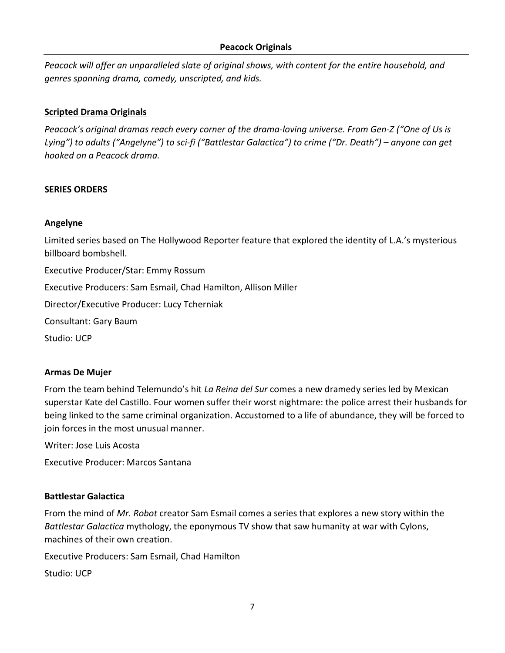Peacock will offer an unparalleled slate of original shows, with content for the entire household, and genres spanning drama, comedy, unscripted, and kids.

## Scripted Drama Originals

Peacock's original dramas reach every corner of the drama-loving universe. From Gen-Z ("One of Us is Lying") to adults ("Angelyne") to sci-fi ("Battlestar Galactica") to crime ("Dr. Death") – anyone can get hooked on a Peacock drama.

## SERIES ORDERS

## Angelyne

Limited series based on The Hollywood Reporter feature that explored the identity of L.A.'s mysterious billboard bombshell.

Executive Producer/Star: Emmy Rossum

Executive Producers: Sam Esmail, Chad Hamilton, Allison Miller

Director/Executive Producer: Lucy Tcherniak

Consultant: Gary Baum

Studio: UCP

## Armas De Mujer

From the team behind Telemundo's hit La Reina del Sur comes a new dramedy series led by Mexican superstar Kate del Castillo. Four women suffer their worst nightmare: the police arrest their husbands for being linked to the same criminal organization. Accustomed to a life of abundance, they will be forced to join forces in the most unusual manner.

Writer: Jose Luis Acosta

Executive Producer: Marcos Santana

#### Battlestar Galactica

From the mind of Mr. Robot creator Sam Esmail comes a series that explores a new story within the Battlestar Galactica mythology, the eponymous TV show that saw humanity at war with Cylons, machines of their own creation.

Executive Producers: Sam Esmail, Chad Hamilton

Studio: UCP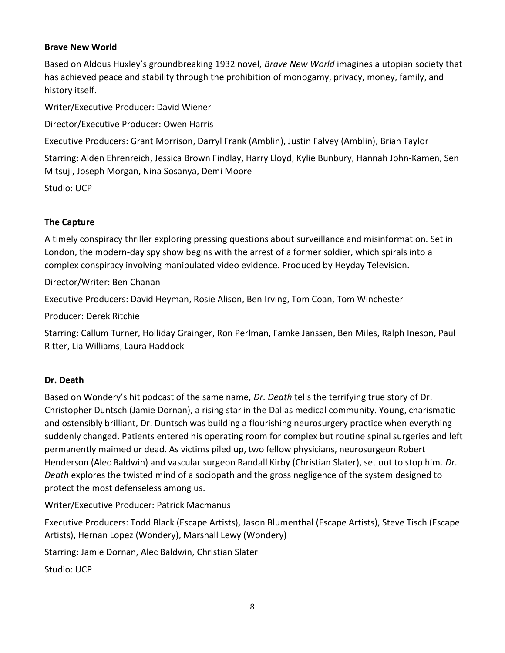## Brave New World

Based on Aldous Huxley's groundbreaking 1932 novel, *Brave New World* imagines a utopian society that has achieved peace and stability through the prohibition of monogamy, privacy, money, family, and history itself.

Writer/Executive Producer: David Wiener

Director/Executive Producer: Owen Harris

Executive Producers: Grant Morrison, Darryl Frank (Amblin), Justin Falvey (Amblin), Brian Taylor

Starring: Alden Ehrenreich, Jessica Brown Findlay, Harry Lloyd, Kylie Bunbury, Hannah John-Kamen, Sen Mitsuji, Joseph Morgan, Nina Sosanya, Demi Moore

Studio: UCP

#### The Capture

A timely conspiracy thriller exploring pressing questions about surveillance and misinformation. Set in London, the modern-day spy show begins with the arrest of a former soldier, which spirals into a complex conspiracy involving manipulated video evidence. Produced by Heyday Television.

Director/Writer: Ben Chanan

Executive Producers: David Heyman, Rosie Alison, Ben Irving, Tom Coan, Tom Winchester

Producer: Derek Ritchie

Starring: Callum Turner, Holliday Grainger, Ron Perlman, Famke Janssen, Ben Miles, Ralph Ineson, Paul Ritter, Lia Williams, Laura Haddock

#### Dr. Death

Based on Wondery's hit podcast of the same name, Dr. Death tells the terrifying true story of Dr. Christopher Duntsch (Jamie Dornan), a rising star in the Dallas medical community. Young, charismatic and ostensibly brilliant, Dr. Duntsch was building a flourishing neurosurgery practice when everything suddenly changed. Patients entered his operating room for complex but routine spinal surgeries and left permanently maimed or dead. As victims piled up, two fellow physicians, neurosurgeon Robert Henderson (Alec Baldwin) and vascular surgeon Randall Kirby (Christian Slater), set out to stop him. Dr. Death explores the twisted mind of a sociopath and the gross negligence of the system designed to protect the most defenseless among us.

Writer/Executive Producer: Patrick Macmanus

Executive Producers: Todd Black (Escape Artists), Jason Blumenthal (Escape Artists), Steve Tisch (Escape Artists), Hernan Lopez (Wondery), Marshall Lewy (Wondery)

Starring: Jamie Dornan, Alec Baldwin, Christian Slater

Studio: UCP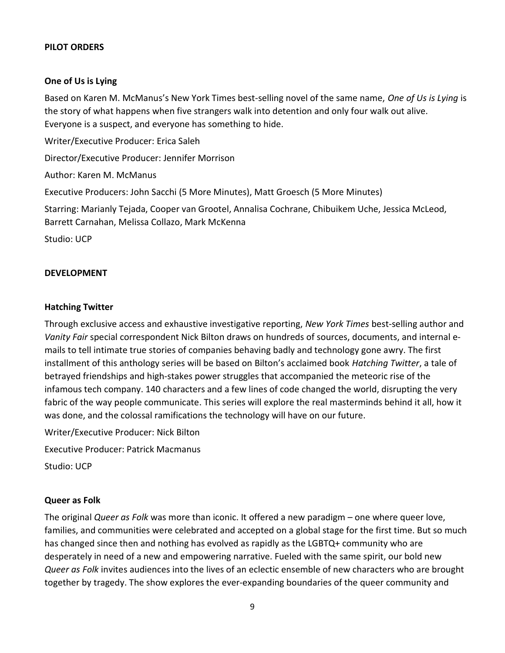#### PILOT ORDERS

#### One of Us is Lying

Based on Karen M. McManus's New York Times best-selling novel of the same name, One of Us is Lying is the story of what happens when five strangers walk into detention and only four walk out alive. Everyone is a suspect, and everyone has something to hide.

Writer/Executive Producer: Erica Saleh

Director/Executive Producer: Jennifer Morrison

Author: Karen M. McManus

Executive Producers: John Sacchi (5 More Minutes), Matt Groesch (5 More Minutes)

Starring: Marianly Tejada, Cooper van Grootel, Annalisa Cochrane, Chibuikem Uche, Jessica McLeod, Barrett Carnahan, Melissa Collazo, Mark McKenna

Studio: UCP

#### DEVELOPMENT

#### Hatching Twitter

Through exclusive access and exhaustive investigative reporting, New York Times best-selling author and Vanity Fair special correspondent Nick Bilton draws on hundreds of sources, documents, and internal emails to tell intimate true stories of companies behaving badly and technology gone awry. The first installment of this anthology series will be based on Bilton's acclaimed book Hatching Twitter, a tale of betrayed friendships and high-stakes power struggles that accompanied the meteoric rise of the infamous tech company. 140 characters and a few lines of code changed the world, disrupting the very fabric of the way people communicate. This series will explore the real masterminds behind it all, how it was done, and the colossal ramifications the technology will have on our future.

Writer/Executive Producer: Nick Bilton

Executive Producer: Patrick Macmanus

Studio: UCP

#### Queer as Folk

The original Queer as Folk was more than iconic. It offered a new paradigm - one where queer love, families, and communities were celebrated and accepted on a global stage for the first time. But so much has changed since then and nothing has evolved as rapidly as the LGBTQ+ community who are desperately in need of a new and empowering narrative. Fueled with the same spirit, our bold new Queer as Folk invites audiences into the lives of an eclectic ensemble of new characters who are brought together by tragedy. The show explores the ever-expanding boundaries of the queer community and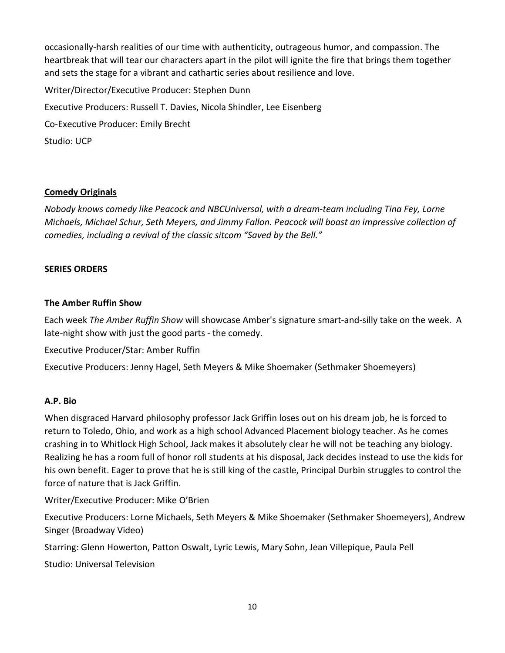occasionally-harsh realities of our time with authenticity, outrageous humor, and compassion. The heartbreak that will tear our characters apart in the pilot will ignite the fire that brings them together and sets the stage for a vibrant and cathartic series about resilience and love.

Writer/Director/Executive Producer: Stephen Dunn Executive Producers: Russell T. Davies, Nicola Shindler, Lee Eisenberg Co-Executive Producer: Emily Brecht Studio: UCP

## Comedy Originals

Nobody knows comedy like Peacock and NBCUniversal, with a dream-team including Tina Fey, Lorne Michaels, Michael Schur, Seth Meyers, and Jimmy Fallon. Peacock will boast an impressive collection of comedies, including a revival of the classic sitcom "Saved by the Bell."

## SERIES ORDERS

## The Amber Ruffin Show

Each week The Amber Ruffin Show will showcase Amber's signature smart-and-silly take on the week. A late-night show with just the good parts - the comedy.

Executive Producer/Star: Amber Ruffin

Executive Producers: Jenny Hagel, Seth Meyers & Mike Shoemaker (Sethmaker Shoemeyers)

## A.P. Bio

When disgraced Harvard philosophy professor Jack Griffin loses out on his dream job, he is forced to return to Toledo, Ohio, and work as a high school Advanced Placement biology teacher. As he comes crashing in to Whitlock High School, Jack makes it absolutely clear he will not be teaching any biology. Realizing he has a room full of honor roll students at his disposal, Jack decides instead to use the kids for his own benefit. Eager to prove that he is still king of the castle, Principal Durbin struggles to control the force of nature that is Jack Griffin.

Writer/Executive Producer: Mike O'Brien

Executive Producers: Lorne Michaels, Seth Meyers & Mike Shoemaker (Sethmaker Shoemeyers), Andrew Singer (Broadway Video)

Starring: Glenn Howerton, Patton Oswalt, Lyric Lewis, Mary Sohn, Jean Villepique, Paula Pell

Studio: Universal Television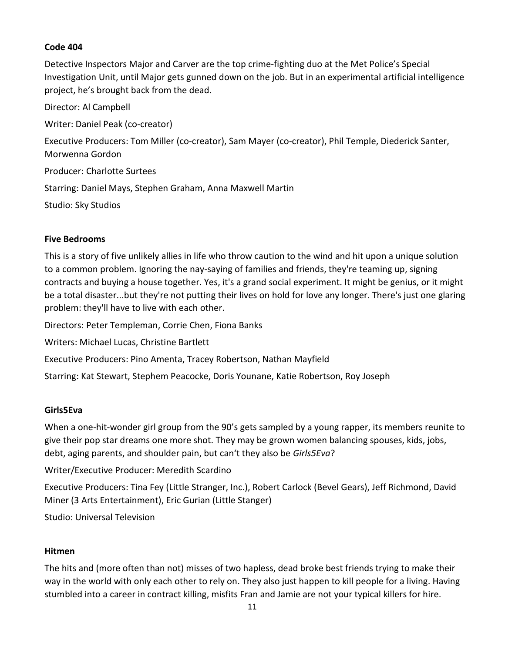## Code 404

Detective Inspectors Major and Carver are the top crime-fighting duo at the Met Police's Special Investigation Unit, until Major gets gunned down on the job. But in an experimental artificial intelligence project, he's brought back from the dead.

Director: Al Campbell

Writer: Daniel Peak (co-creator)

Executive Producers: Tom Miller (co-creator), Sam Mayer (co-creator), Phil Temple, Diederick Santer, Morwenna Gordon

Producer: Charlotte Surtees

Starring: Daniel Mays, Stephen Graham, Anna Maxwell Martin

Studio: Sky Studios

## Five Bedrooms

This is a story of five unlikely allies in life who throw caution to the wind and hit upon a unique solution to a common problem. Ignoring the nay-saying of families and friends, they're teaming up, signing contracts and buying a house together. Yes, it's a grand social experiment. It might be genius, or it might be a total disaster...but they're not putting their lives on hold for love any longer. There's just one glaring problem: they'll have to live with each other.

Directors: Peter Templeman, Corrie Chen, Fiona Banks

Writers: Michael Lucas, Christine Bartlett

Executive Producers: Pino Amenta, Tracey Robertson, Nathan Mayfield

Starring: Kat Stewart, Stephem Peacocke, Doris Younane, Katie Robertson, Roy Joseph

## Girls5Eva

When a one-hit-wonder girl group from the 90's gets sampled by a young rapper, its members reunite to give their pop star dreams one more shot. They may be grown women balancing spouses, kids, jobs, debt, aging parents, and shoulder pain, but can't they also be Girls5Eva?

Writer/Executive Producer: Meredith Scardino

Executive Producers: Tina Fey (Little Stranger, Inc.), Robert Carlock (Bevel Gears), Jeff Richmond, David Miner (3 Arts Entertainment), Eric Gurian (Little Stanger)

Studio: Universal Television

## Hitmen

The hits and (more often than not) misses of two hapless, dead broke best friends trying to make their way in the world with only each other to rely on. They also just happen to kill people for a living. Having stumbled into a career in contract killing, misfits Fran and Jamie are not your typical killers for hire.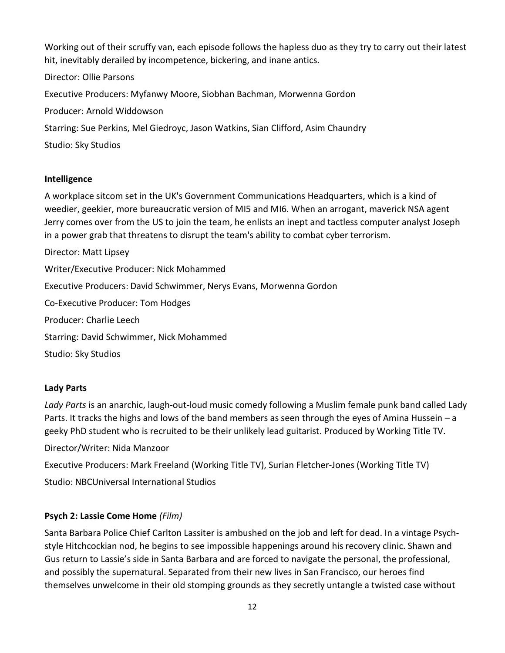Working out of their scruffy van, each episode follows the hapless duo as they try to carry out their latest hit, inevitably derailed by incompetence, bickering, and inane antics.

Director: Ollie Parsons Executive Producers: Myfanwy Moore, Siobhan Bachman, Morwenna Gordon Producer: Arnold Widdowson Starring: Sue Perkins, Mel Giedroyc, Jason Watkins, Sian Clifford, Asim Chaundry Studio: Sky Studios

## Intelligence

A workplace sitcom set in the UK's Government Communications Headquarters, which is a kind of weedier, geekier, more bureaucratic version of MI5 and MI6. When an arrogant, maverick NSA agent Jerry comes over from the US to join the team, he enlists an inept and tactless computer analyst Joseph in a power grab that threatens to disrupt the team's ability to combat cyber terrorism.

Director: Matt Lipsey Writer/Executive Producer: Nick Mohammed Executive Producers: David Schwimmer, Nerys Evans, Morwenna Gordon Co-Executive Producer: Tom Hodges Producer: Charlie Leech Starring: David Schwimmer, Nick Mohammed Studio: Sky Studios

## Lady Parts

Lady Parts is an anarchic, laugh-out-loud music comedy following a Muslim female punk band called Lady Parts. It tracks the highs and lows of the band members as seen through the eyes of Amina Hussein – a geeky PhD student who is recruited to be their unlikely lead guitarist. Produced by Working Title TV.

Director/Writer: Nida Manzoor

Executive Producers: Mark Freeland (Working Title TV), Surian Fletcher-Jones (Working Title TV)

Studio: NBCUniversal International Studios

## Psych 2: Lassie Come Home (Film)

Santa Barbara Police Chief Carlton Lassiter is ambushed on the job and left for dead. In a vintage Psychstyle Hitchcockian nod, he begins to see impossible happenings around his recovery clinic. Shawn and Gus return to Lassie's side in Santa Barbara and are forced to navigate the personal, the professional, and possibly the supernatural. Separated from their new lives in San Francisco, our heroes find themselves unwelcome in their old stomping grounds as they secretly untangle a twisted case without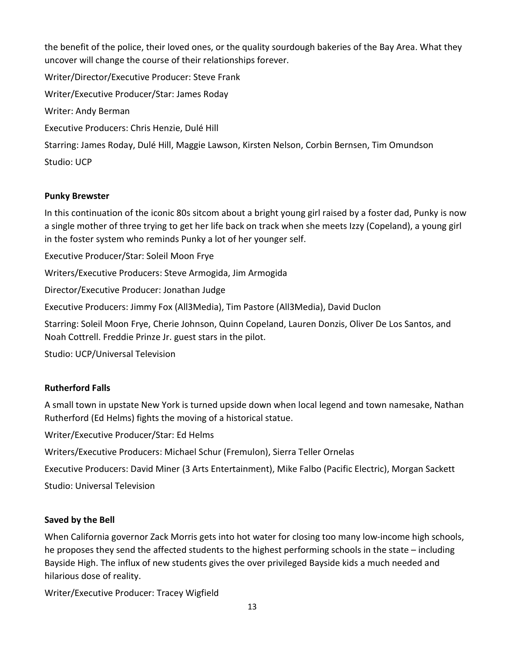the benefit of the police, their loved ones, or the quality sourdough bakeries of the Bay Area. What they uncover will change the course of their relationships forever.

Writer/Director/Executive Producer: Steve Frank Writer/Executive Producer/Star: James Roday Writer: Andy Berman Executive Producers: Chris Henzie, Dulé Hill Starring: James Roday, Dulé Hill, Maggie Lawson, Kirsten Nelson, Corbin Bernsen, Tim Omundson Studio: UCP

## Punky Brewster

In this continuation of the iconic 80s sitcom about a bright young girl raised by a foster dad, Punky is now a single mother of three trying to get her life back on track when she meets Izzy (Copeland), a young girl in the foster system who reminds Punky a lot of her younger self.

Executive Producer/Star: Soleil Moon Frye

Writers/Executive Producers: Steve Armogida, Jim Armogida

Director/Executive Producer: Jonathan Judge

Executive Producers: Jimmy Fox (All3Media), Tim Pastore (All3Media), David Duclon

Starring: Soleil Moon Frye, Cherie Johnson, Quinn Copeland, Lauren Donzis, Oliver De Los Santos, and Noah Cottrell. Freddie Prinze Jr. guest stars in the pilot.

Studio: UCP/Universal Television

#### Rutherford Falls

A small town in upstate New York is turned upside down when local legend and town namesake, Nathan Rutherford (Ed Helms) fights the moving of a historical statue.

Writer/Executive Producer/Star: Ed Helms

Writers/Executive Producers: Michael Schur (Fremulon), Sierra Teller Ornelas

Executive Producers: David Miner (3 Arts Entertainment), Mike Falbo (Pacific Electric), Morgan Sackett

Studio: Universal Television

#### Saved by the Bell

When California governor Zack Morris gets into hot water for closing too many low-income high schools, he proposes they send the affected students to the highest performing schools in the state – including Bayside High. The influx of new students gives the over privileged Bayside kids a much needed and hilarious dose of reality.

Writer/Executive Producer: Tracey Wigfield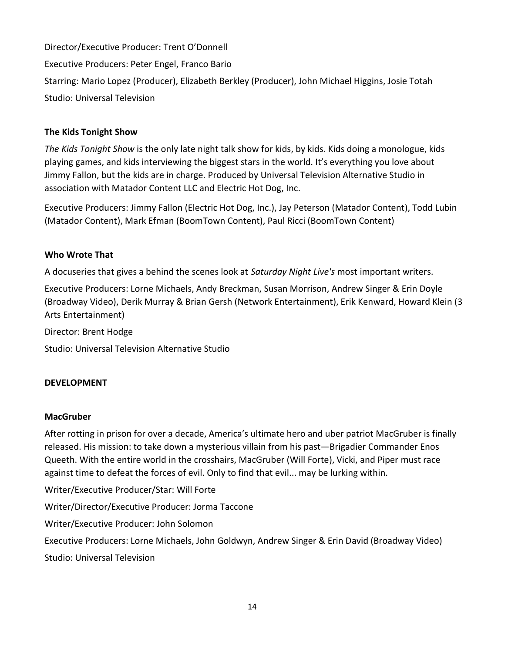Director/Executive Producer: Trent O'Donnell Executive Producers: Peter Engel, Franco Bario Starring: Mario Lopez (Producer), Elizabeth Berkley (Producer), John Michael Higgins, Josie Totah Studio: Universal Television

## The Kids Tonight Show

The Kids Tonight Show is the only late night talk show for kids, by kids. Kids doing a monologue, kids playing games, and kids interviewing the biggest stars in the world. It's everything you love about Jimmy Fallon, but the kids are in charge. Produced by Universal Television Alternative Studio in association with Matador Content LLC and Electric Hot Dog, Inc.

Executive Producers: Jimmy Fallon (Electric Hot Dog, Inc.), Jay Peterson (Matador Content), Todd Lubin (Matador Content), Mark Efman (BoomTown Content), Paul Ricci (BoomTown Content)

## Who Wrote That

A docuseries that gives a behind the scenes look at Saturday Night Live's most important writers.

Executive Producers: Lorne Michaels, Andy Breckman, Susan Morrison, Andrew Singer & Erin Doyle (Broadway Video), Derik Murray & Brian Gersh (Network Entertainment), Erik Kenward, Howard Klein (3 Arts Entertainment)

Director: Brent Hodge

Studio: Universal Television Alternative Studio

## DEVELOPMENT

## **MacGruber**

After rotting in prison for over a decade, America's ultimate hero and uber patriot MacGruber is finally released. His mission: to take down a mysterious villain from his past—Brigadier Commander Enos Queeth. With the entire world in the crosshairs, MacGruber (Will Forte), Vicki, and Piper must race against time to defeat the forces of evil. Only to find that evil... may be lurking within.

Writer/Executive Producer/Star: Will Forte

Writer/Director/Executive Producer: Jorma Taccone

Writer/Executive Producer: John Solomon

Executive Producers: Lorne Michaels, John Goldwyn, Andrew Singer & Erin David (Broadway Video)

Studio: Universal Television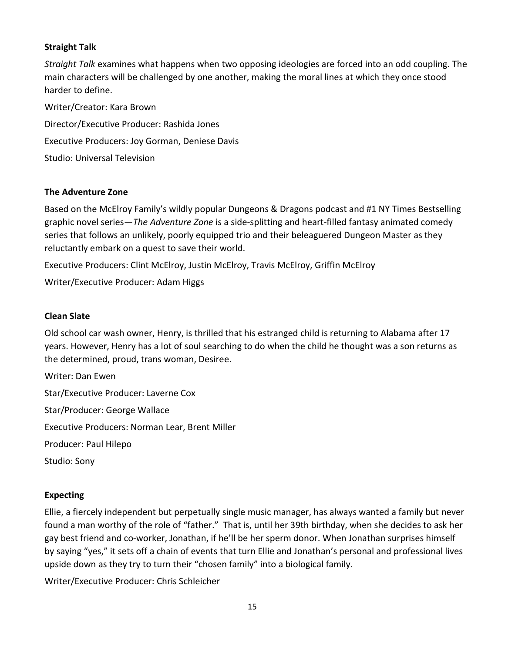## Straight Talk

Straight Talk examines what happens when two opposing ideologies are forced into an odd coupling. The main characters will be challenged by one another, making the moral lines at which they once stood harder to define.

Writer/Creator: Kara Brown Director/Executive Producer: Rashida Jones Executive Producers: Joy Gorman, Deniese Davis Studio: Universal Television

#### The Adventure Zone

Based on the McElroy Family's wildly popular Dungeons & Dragons podcast and #1 NY Times Bestselling graphic novel series—The Adventure Zone is a side-splitting and heart-filled fantasy animated comedy series that follows an unlikely, poorly equipped trio and their beleaguered Dungeon Master as they reluctantly embark on a quest to save their world.

Executive Producers: Clint McElroy, Justin McElroy, Travis McElroy, Griffin McElroy

Writer/Executive Producer: Adam Higgs

#### Clean Slate

Old school car wash owner, Henry, is thrilled that his estranged child is returning to Alabama after 17 years. However, Henry has a lot of soul searching to do when the child he thought was a son returns as the determined, proud, trans woman, Desiree.

Writer: Dan Ewen Star/Executive Producer: Laverne Cox Star/Producer: George Wallace Executive Producers: Norman Lear, Brent Miller Producer: Paul Hilepo Studio: Sony

#### Expecting

Ellie, a fiercely independent but perpetually single music manager, has always wanted a family but never found a man worthy of the role of "father." That is, until her 39th birthday, when she decides to ask her gay best friend and co-worker, Jonathan, if he'll be her sperm donor. When Jonathan surprises himself by saying "yes," it sets off a chain of events that turn Ellie and Jonathan's personal and professional lives upside down as they try to turn their "chosen family" into a biological family.

Writer/Executive Producer: Chris Schleicher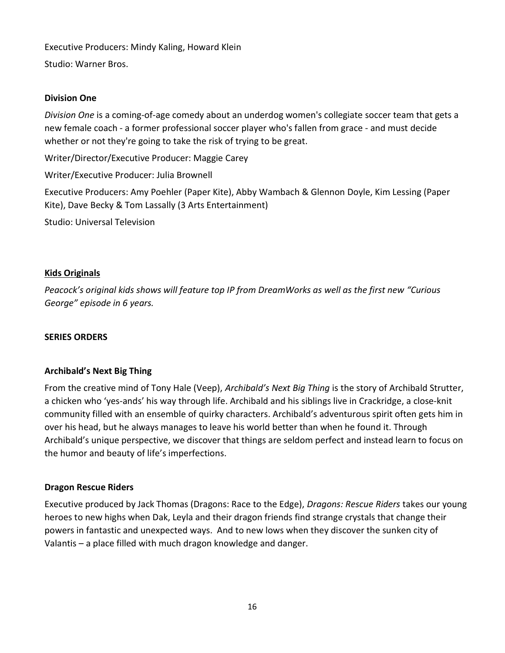Executive Producers: Mindy Kaling, Howard Klein

Studio: Warner Bros.

## Division One

Division One is a coming-of-age comedy about an underdog women's collegiate soccer team that gets a new female coach - a former professional soccer player who's fallen from grace - and must decide whether or not they're going to take the risk of trying to be great.

Writer/Director/Executive Producer: Maggie Carey

Writer/Executive Producer: Julia Brownell

Executive Producers: Amy Poehler (Paper Kite), Abby Wambach & Glennon Doyle, Kim Lessing (Paper Kite), Dave Becky & Tom Lassally (3 Arts Entertainment)

Studio: Universal Television

## Kids Originals

Peacock's original kids shows will feature top IP from DreamWorks as well as the first new "Curious George" episode in 6 years.

## SERIES ORDERS

## Archibald's Next Big Thing

From the creative mind of Tony Hale (Veep), Archibald's Next Big Thing is the story of Archibald Strutter, a chicken who 'yes-ands' his way through life. Archibald and his siblings live in Crackridge, a close-knit community filled with an ensemble of quirky characters. Archibald's adventurous spirit often gets him in over his head, but he always manages to leave his world better than when he found it. Through Archibald's unique perspective, we discover that things are seldom perfect and instead learn to focus on the humor and beauty of life's imperfections.

#### Dragon Rescue Riders

Executive produced by Jack Thomas (Dragons: Race to the Edge), *Dragons: Rescue Riders* takes our young heroes to new highs when Dak, Leyla and their dragon friends find strange crystals that change their powers in fantastic and unexpected ways. And to new lows when they discover the sunken city of Valantis – a place filled with much dragon knowledge and danger.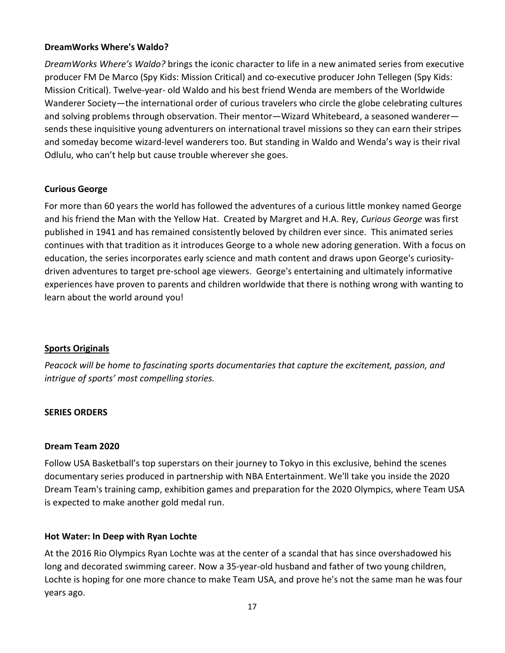## DreamWorks Where's Waldo?

DreamWorks Where's Waldo? brings the iconic character to life in a new animated series from executive producer FM De Marco (Spy Kids: Mission Critical) and co-executive producer John Tellegen (Spy Kids: Mission Critical). Twelve-year- old Waldo and his best friend Wenda are members of the Worldwide Wanderer Society—the international order of curious travelers who circle the globe celebrating cultures and solving problems through observation. Their mentor—Wizard Whitebeard, a seasoned wanderer sends these inquisitive young adventurers on international travel missions so they can earn their stripes and someday become wizard-level wanderers too. But standing in Waldo and Wenda's way is their rival Odlulu, who can't help but cause trouble wherever she goes.

#### Curious George

For more than 60 years the world has followed the adventures of a curious little monkey named George and his friend the Man with the Yellow Hat. Created by Margret and H.A. Rey, Curious George was first published in 1941 and has remained consistently beloved by children ever since. This animated series continues with that tradition as it introduces George to a whole new adoring generation. With a focus on education, the series incorporates early science and math content and draws upon George's curiositydriven adventures to target pre-school age viewers. George's entertaining and ultimately informative experiences have proven to parents and children worldwide that there is nothing wrong with wanting to learn about the world around you!

#### Sports Originals

Peacock will be home to fascinating sports documentaries that capture the excitement, passion, and intrigue of sports' most compelling stories.

#### SERIES ORDERS

#### Dream Team 2020

Follow USA Basketball's top superstars on their journey to Tokyo in this exclusive, behind the scenes documentary series produced in partnership with NBA Entertainment. We'll take you inside the 2020 Dream Team's training camp, exhibition games and preparation for the 2020 Olympics, where Team USA is expected to make another gold medal run.

#### Hot Water: In Deep with Ryan Lochte

At the 2016 Rio Olympics Ryan Lochte was at the center of a scandal that has since overshadowed his long and decorated swimming career. Now a 35-year-old husband and father of two young children, Lochte is hoping for one more chance to make Team USA, and prove he's not the same man he was four years ago.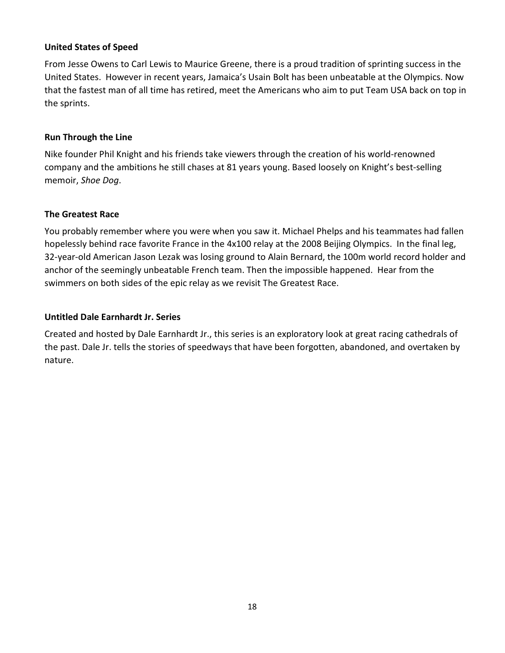## United States of Speed

From Jesse Owens to Carl Lewis to Maurice Greene, there is a proud tradition of sprinting success in the United States. However in recent years, Jamaica's Usain Bolt has been unbeatable at the Olympics. Now that the fastest man of all time has retired, meet the Americans who aim to put Team USA back on top in the sprints.

#### Run Through the Line

Nike founder Phil Knight and his friends take viewers through the creation of his world-renowned company and the ambitions he still chases at 81 years young. Based loosely on Knight's best-selling memoir, Shoe Dog.

#### The Greatest Race

You probably remember where you were when you saw it. Michael Phelps and his teammates had fallen hopelessly behind race favorite France in the 4x100 relay at the 2008 Beijing Olympics. In the final leg, 32-year-old American Jason Lezak was losing ground to Alain Bernard, the 100m world record holder and anchor of the seemingly unbeatable French team. Then the impossible happened. Hear from the swimmers on both sides of the epic relay as we revisit The Greatest Race.

#### Untitled Dale Earnhardt Jr. Series

Created and hosted by Dale Earnhardt Jr., this series is an exploratory look at great racing cathedrals of the past. Dale Jr. tells the stories of speedways that have been forgotten, abandoned, and overtaken by nature.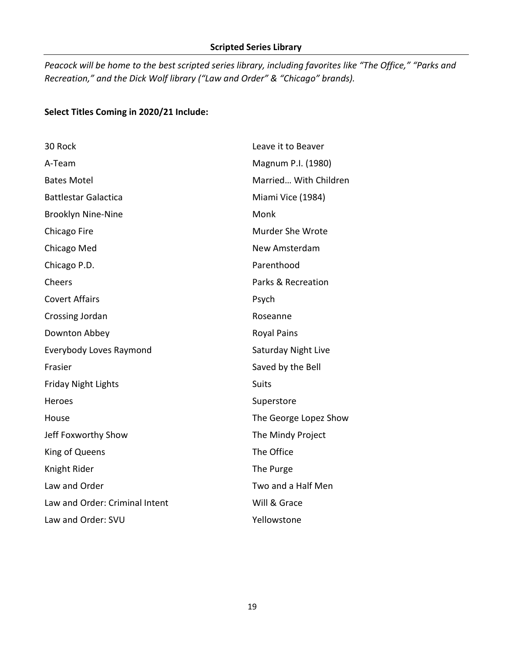## Scripted Series Library

Peacock will be home to the best scripted series library, including favorites like "The Office," "Parks and Recreation," and the Dick Wolf library ("Law and Order" & "Chicago" brands).

## Select Titles Coming in 2020/21 Include:

| 30 Rock                        | Leave it to Beaver    |
|--------------------------------|-----------------------|
| A-Team                         | Magnum P.I. (1980)    |
| <b>Bates Motel</b>             | Married With Children |
| <b>Battlestar Galactica</b>    | Miami Vice (1984)     |
| <b>Brooklyn Nine-Nine</b>      | Monk                  |
| Chicago Fire                   | Murder She Wrote      |
| Chicago Med                    | New Amsterdam         |
| Chicago P.D.                   | Parenthood            |
| Cheers                         | Parks & Recreation    |
| <b>Covert Affairs</b>          | Psych                 |
| Crossing Jordan                | Roseanne              |
| Downton Abbey                  | <b>Royal Pains</b>    |
| Everybody Loves Raymond        | Saturday Night Live   |
| Frasier                        | Saved by the Bell     |
| <b>Friday Night Lights</b>     | <b>Suits</b>          |
| Heroes                         | Superstore            |
| House                          | The George Lopez Show |
| Jeff Foxworthy Show            | The Mindy Project     |
| King of Queens                 | The Office            |
| Knight Rider                   | The Purge             |
| Law and Order                  | Two and a Half Men    |
| Law and Order: Criminal Intent | Will & Grace          |
| Law and Order: SVU             | Yellowstone           |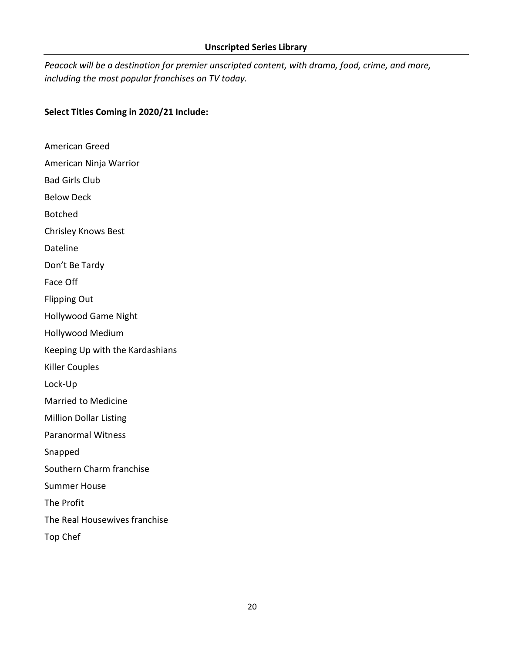Peacock will be a destination for premier unscripted content, with drama, food, crime, and more, including the most popular franchises on TV today.

## Select Titles Coming in 2020/21 Include:

American Greed American Ninja Warrior Bad Girls Club Below Deck Botched Chrisley Knows Best Dateline Don't Be Tardy Face Off Flipping Out Hollywood Game Night Hollywood Medium Keeping Up with the Kardashians Killer Couples Lock-Up Married to Medicine Million Dollar Listing Paranormal Witness Snapped Southern Charm franchise Summer House The Profit The Real Housewives franchise Top Chef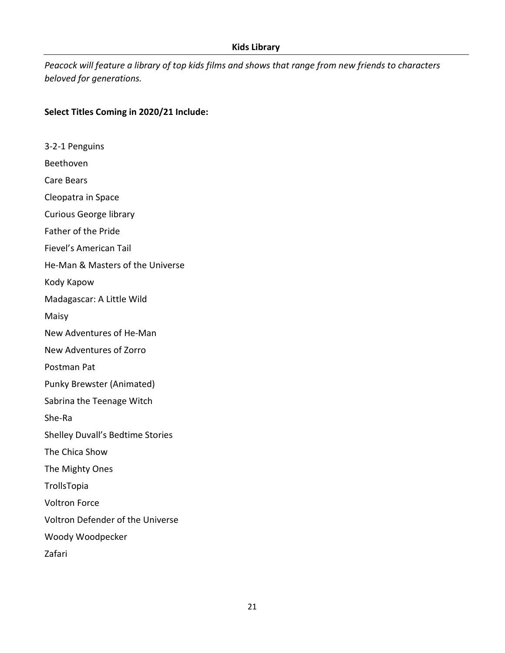Peacock will feature a library of top kids films and shows that range from new friends to characters beloved for generations.

#### Select Titles Coming in 2020/21 Include:

3-2-1 Penguins Beethoven Care Bears Cleopatra in Space Curious George library Father of the Pride Fievel's American Tail He-Man & Masters of the Universe Kody Kapow Madagascar: A Little Wild Maisy New Adventures of He-Man New Adventures of Zorro Postman Pat Punky Brewster (Animated) Sabrina the Teenage Witch She-Ra Shelley Duvall's Bedtime Stories The Chica Show The Mighty Ones TrollsTopia Voltron Force Voltron Defender of the Universe Woody Woodpecker Zafari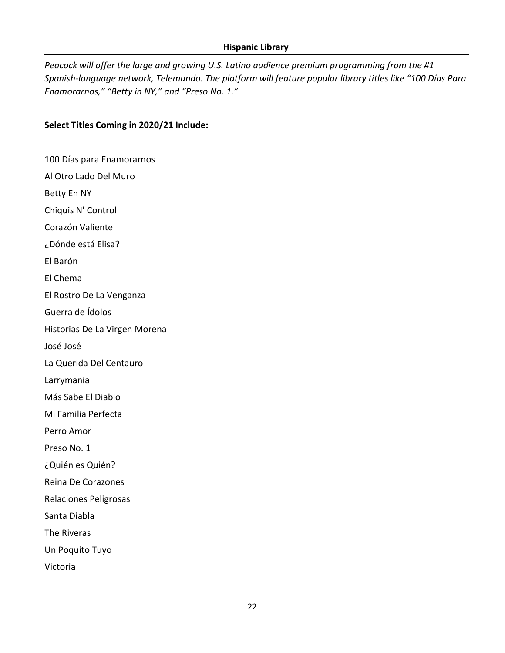#### Hispanic Library

Peacock will offer the large and growing U.S. Latino audience premium programming from the #1 Spanish-language network, Telemundo. The platform will feature popular library titles like "100 Días Para Enamorarnos," "Betty in NY," and "Preso No. 1."

#### Select Titles Coming in 2020/21 Include:

100 Días para Enamorarnos Al Otro Lado Del Muro Betty En NY Chiquis N' Control Corazón Valiente ¿Dónde está Elisa? El Barón El Chema El Rostro De La Venganza Guerra de Ídolos Historias De La Virgen Morena José José La Querida Del Centauro Larrymania Más Sabe El Diablo Mi Familia Perfecta Perro Amor Preso No. 1 ¿Quién es Quién? Reina De Corazones Relaciones Peligrosas Santa Diabla The Riveras Un Poquito Tuyo Victoria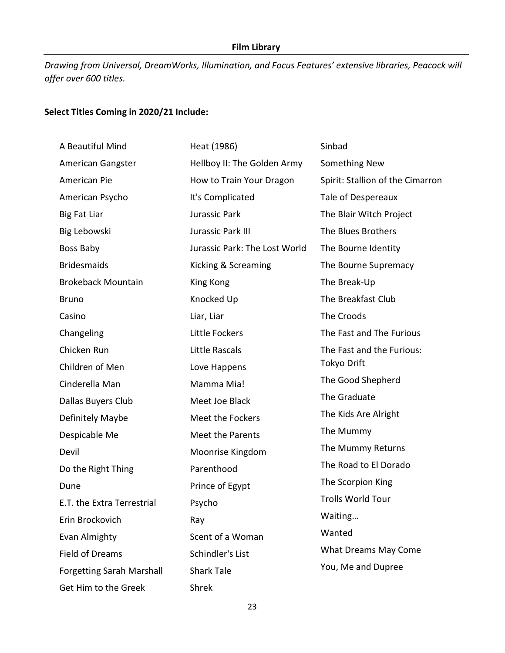Drawing from Universal, DreamWorks, Illumination, and Focus Features' extensive libraries, Peacock will offer over 600 titles.

## Select Titles Coming in 2020/21 Include:

| A Beautiful Mind                 | Heat (1986)                   | Sinbad                           |
|----------------------------------|-------------------------------|----------------------------------|
| American Gangster                | Hellboy II: The Golden Army   | Something New                    |
| American Pie                     | How to Train Your Dragon      | Spirit: Stallion of the Cimarron |
| American Psycho                  | It's Complicated              | Tale of Despereaux               |
| <b>Big Fat Liar</b>              | Jurassic Park                 | The Blair Witch Project          |
| Big Lebowski                     | Jurassic Park III             | The Blues Brothers               |
| Boss Baby                        | Jurassic Park: The Lost World | The Bourne Identity              |
| <b>Bridesmaids</b>               | Kicking & Screaming           | The Bourne Supremacy             |
| <b>Brokeback Mountain</b>        | King Kong                     | The Break-Up                     |
| <b>Bruno</b>                     | Knocked Up                    | The Breakfast Club               |
| Casino                           | Liar, Liar                    | The Croods                       |
| Changeling                       | Little Fockers                | The Fast and The Furious         |
| Chicken Run                      | Little Rascals                | The Fast and the Furious:        |
| Children of Men                  | Love Happens                  | <b>Tokyo Drift</b>               |
| Cinderella Man                   | Mamma Mia!                    | The Good Shepherd                |
| Dallas Buyers Club               | Meet Joe Black                | The Graduate                     |
| Definitely Maybe                 | Meet the Fockers              | The Kids Are Alright             |
| Despicable Me                    | Meet the Parents              | The Mummy                        |
| Devil                            | Moonrise Kingdom              | The Mummy Returns                |
| Do the Right Thing               | Parenthood                    | The Road to El Dorado            |
| Dune                             | Prince of Egypt               | The Scorpion King                |
| E.T. the Extra Terrestrial       | Psycho                        | <b>Trolls World Tour</b>         |
| Erin Brockovich                  | Ray                           | Waiting                          |
| Evan Almighty                    | Scent of a Woman              | Wanted                           |
| <b>Field of Dreams</b>           | Schindler's List              | What Dreams May Come             |
| <b>Forgetting Sarah Marshall</b> | <b>Shark Tale</b>             | You, Me and Dupree               |
| Get Him to the Greek             | Shrek                         |                                  |